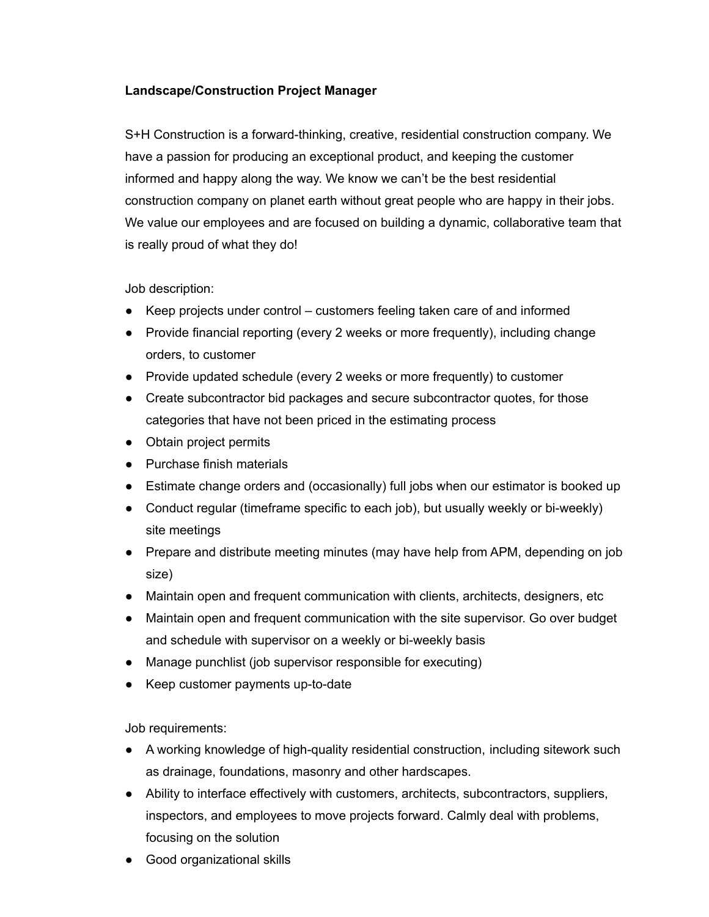## **Landscape/Construction Project Manager**

S+H Construction is a forward-thinking, creative, residential construction company. We have a passion for producing an exceptional product, and keeping the customer informed and happy along the way. We know we can't be the best residential construction company on planet earth without great people who are happy in their jobs. We value our employees and are focused on building a dynamic, collaborative team that is really proud of what they do!

Job description:

- Keep projects under control customers feeling taken care of and informed
- Provide financial reporting (every 2 weeks or more frequently), including change orders, to customer
- Provide updated schedule (every 2 weeks or more frequently) to customer
- Create subcontractor bid packages and secure subcontractor quotes, for those categories that have not been priced in the estimating process
- Obtain project permits
- Purchase finish materials
- Estimate change orders and (occasionally) full jobs when our estimator is booked up
- Conduct regular (timeframe specific to each job), but usually weekly or bi-weekly) site meetings
- Prepare and distribute meeting minutes (may have help from APM, depending on job size)
- Maintain open and frequent communication with clients, architects, designers, etc
- Maintain open and frequent communication with the site supervisor. Go over budget and schedule with supervisor on a weekly or bi-weekly basis
- Manage punchlist (job supervisor responsible for executing)
- Keep customer payments up-to-date

Job requirements:

- A working knowledge of high-quality residential construction, including sitework such as drainage, foundations, masonry and other hardscapes.
- Ability to interface effectively with customers, architects, subcontractors, suppliers, inspectors, and employees to move projects forward. Calmly deal with problems, focusing on the solution
- Good organizational skills